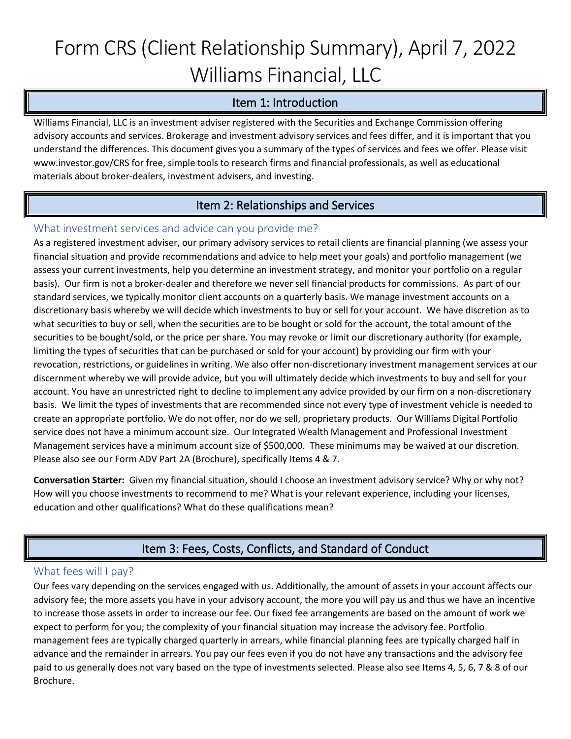# Form CRS (Client Relationship Summary), April 7, 2022 Williams Financial, LLC

### Item 1: Introduction

Williams Financial, LLC is an investment adviser registered with the Securities and Exchange Commission offering advisory accounts and services. Brokerage and investment advisory services and fees differ, and it is important that you understand the differences. This document gives you a summary of the types of services and fees we offer. Please visit www.investor.gov/CRS for free, simple tools to research firms and financial professionals, as well as educational materials about broker-dealers, investment advisers, and investing.

## Item 2: Relationships and Services

#### What investment services and advice can you provide me?

As a registered investment adviser, our primary advisory services to retail clients are financial planning (we assess your financial situation and provide recommendations and advice to help meet your goals) and portfolio management (we assess your current investments, help you determine an investment strategy, and monitor your portfolio on a regular basis). Our firm is not a broker-dealer and therefore we never sell financial products for commissions. As part of our standard services, we typically monitor client accounts on a quarterly basis. We manage investment accounts on a discretionary basis whereby we will decide which investments to buy or sell for your account. We have discretion as to what securities to buy or sell, when the securities are to be bought or sold for the account, the total amount of the securities to be bought/sold, or the price per share. You may revoke or limit our discretionary authority (for example, limiting the types of securities that can be purchased or sold for your account) by providing our firm with your revocation, restrictions, or guidelines in writing. We also offer non-discretionary investment management services at our discernment whereby we will provide advice, but you will ultimately decide which investments to buy and sell for your account. You have an unrestricted right to decline to implement any advice provided by our firm on a non-discretionary basis. We limit the types of investments that are recommended since not every type of investment vehicle is needed to create an appropriate portfolio. We do not offer, nor do we sell, proprietary products. Our Williams Digital Portfolio service does not have a minimum account size. Our Integrated Wealth Management and Professional Investment Management services have a minimum account size of \$500,000. These minimums may be waived at our discretion. Please also see our Form ADV Part 2A (Brochure), specifically Items 4 & 7.

**Conversation Starter:** Given my financial situation, should I choose an investment advisory service? Why or why not? How will you choose investments to recommend to me? What is your relevant experience, including your licenses, education and other qualifications? What do these qualifications mean?

## Item 3: Fees, Costs, Conflicts, and Standard of Conduct

#### What fees will I pay?

Our fees vary depending on the services engaged with us. Additionally, the amount of assets in your account affects our advisory fee; the more assets you have in your advisory account, the more you will pay us and thus we have an incentive to increase those assets in order to increase our fee. Our fixed fee arrangements are based on the amount of work we expect to perform for you; the complexity of your financial situation may increase the advisory fee. Portfolio management fees are typically charged quarterly in arrears, while financial planning fees are typically charged half in advance and the remainder in arrears. You pay our fees even if you do not have any transactions and the advisory fee paid to us generally does not vary based on the type of investments selected. Please also see Items 4, 5, 6, 7 & 8 of our Brochure.